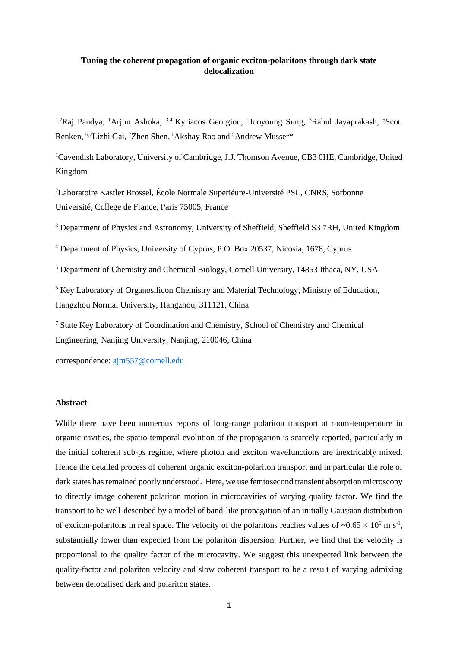# **Tuning the coherent propagation of organic exciton-polaritons through dark state delocalization**

<sup>1,2</sup>Raj Pandya, <sup>1</sup>Arjun Ashoka, <sup>3,4</sup> Kyriacos Georgiou, <sup>1</sup>Jooyoung Sung, <sup>3</sup>Rahul Jayaprakash, <sup>5</sup>Scott Renken, <sup>6,7</sup>Lizhi Gai, <sup>7</sup>Zhen Shen, <sup>1</sup>Akshay Rao and <sup>5</sup>Andrew Musser\*

<sup>1</sup>Cavendish Laboratory, University of Cambridge, J.J. Thomson Avenue, CB3 0HE, Cambridge, United Kingdom

<sup>2</sup>Laboratoire Kastler Brossel, École Normale Superiéure-Université PSL, CNRS, Sorbonne Université, College de France, Paris 75005, France

<sup>3</sup> Department of Physics and Astronomy, University of Sheffield, Sheffield S3 7RH, United Kingdom

<sup>4</sup> Department of Physics, University of Cyprus, P.O. Box 20537, Nicosia, 1678, Cyprus

<sup>5</sup> Department of Chemistry and Chemical Biology, Cornell University, 14853 Ithaca, NY, USA

<sup>6</sup> Key Laboratory of Organosilicon Chemistry and Material Technology, Ministry of Education, Hangzhou Normal University, Hangzhou, 311121, China

<sup>7</sup> State Key Laboratory of Coordination and Chemistry, School of Chemistry and Chemical Engineering, Nanjing University, Nanjing, 210046, China

correspondence: [ajm557@cornell.edu](mailto:ajm557@cornell.edu)

# **Abstract**

While there have been numerous reports of long-range polariton transport at room-temperature in organic cavities, the spatio-temporal evolution of the propagation is scarcely reported, particularly in the initial coherent sub-ps regime, where photon and exciton wavefunctions are inextricably mixed. Hence the detailed process of coherent organic exciton-polariton transport and in particular the role of dark states has remained poorly understood. Here, we use femtosecond transient absorption microscopy to directly image coherent polariton motion in microcavities of varying quality factor. We find the transport to be well-described by a model of band-like propagation of an initially Gaussian distribution of exciton-polaritons in real space. The velocity of the polaritons reaches values of  $\sim 0.65 \times 10^6$  m s<sup>-1</sup>, substantially lower than expected from the polariton dispersion. Further, we find that the velocity is proportional to the quality factor of the microcavity. We suggest this unexpected link between the quality-factor and polariton velocity and slow coherent transport to be a result of varying admixing between delocalised dark and polariton states.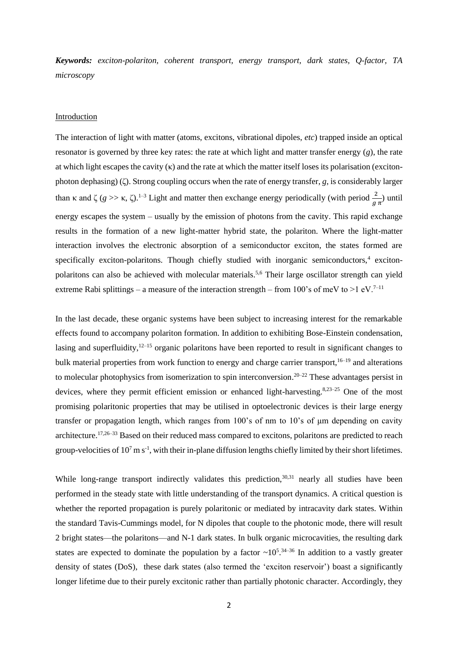*Keywords: exciton-polariton, coherent transport, energy transport, dark states, Q-factor, TA microscopy*

## Introduction

The interaction of light with matter (atoms, excitons, vibrational dipoles, *etc*) trapped inside an optical resonator is governed by three key rates: the rate at which light and matter transfer energy (*g*), the rate at which light escapes the cavity (κ) and the rate at which the matter itself loses its polarisation (excitonphoton dephasing) (ζ). Strong coupling occurs when the rate of energy transfer, *g*, is considerably larger than  $\kappa$  and  $\zeta$  ( $g \gg \kappa$ ,  $\zeta$ ).<sup>1-3</sup> Light and matter then exchange energy periodically (with period  $\frac{2}{g \pi}$ ) until energy escapes the system – usually by the emission of photons from the cavity. This rapid exchange results in the formation of a new light-matter hybrid state, the polariton. Where the light-matter interaction involves the electronic absorption of a semiconductor exciton, the states formed are specifically exciton-polaritons. Though chiefly studied with inorganic semiconductors,<sup>4</sup> excitonpolaritons can also be achieved with molecular materials.5,6 Their large oscillator strength can yield extreme Rabi splittings – a measure of the interaction strength – from 100's of meV to  $>1$  eV.<sup>7–11</sup>

In the last decade, these organic systems have been subject to increasing interest for the remarkable effects found to accompany polariton formation. In addition to exhibiting Bose-Einstein condensation, lasing and superfluidity, $12-15$  organic polaritons have been reported to result in significant changes to bulk material properties from work function to energy and charge carrier transport,  $16-19$  and alterations to molecular photophysics from isomerization to spin interconversion.<sup>20–22</sup> These advantages persist in devices, where they permit efficient emission or enhanced light-harvesting.<sup>8,23–25</sup> One of the most promising polaritonic properties that may be utilised in optoelectronic devices is their large energy transfer or propagation length, which ranges from  $100$ 's of nm to  $10$ 's of  $\mu$ m depending on cavity architecture.17,26–33 Based on their reduced mass compared to excitons, polaritons are predicted to reach group-velocities of  $10^7$  m s<sup>-1</sup>, with their in-plane diffusion lengths chiefly limited by their short lifetimes.

While long-range transport indirectly validates this prediction, $30,31$  nearly all studies have been performed in the steady state with little understanding of the transport dynamics. A critical question is whether the reported propagation is purely polaritonic or mediated by intracavity dark states. Within the standard Tavis-Cummings model, for N dipoles that couple to the photonic mode, there will result 2 bright states—the polaritons—and N-1 dark states. In bulk organic microcavities, the resulting dark states are expected to dominate the population by a factor  $\sim 10^{5}$ .<sup>34–36</sup> In addition to a vastly greater density of states (DoS), these dark states (also termed the 'exciton reservoir') boast a significantly longer lifetime due to their purely excitonic rather than partially photonic character. Accordingly, they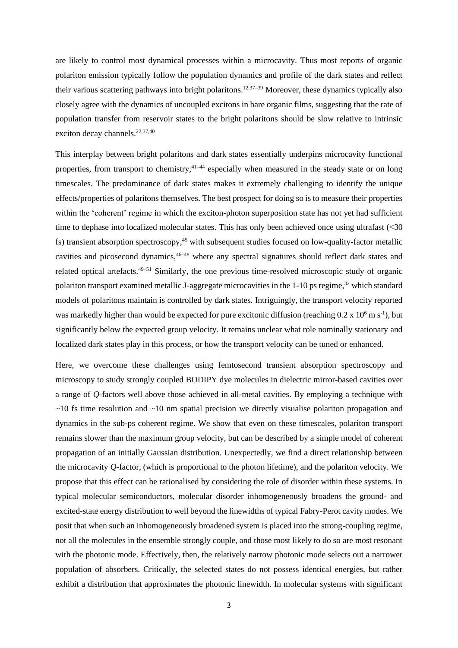are likely to control most dynamical processes within a microcavity. Thus most reports of organic polariton emission typically follow the population dynamics and profile of the dark states and reflect their various scattering pathways into bright polaritons.<sup>12,37–39</sup> Moreover, these dynamics typically also closely agree with the dynamics of uncoupled excitons in bare organic films, suggesting that the rate of population transfer from reservoir states to the bright polaritons should be slow relative to intrinsic exciton decay channels. $22,37,40$ 

This interplay between bright polaritons and dark states essentially underpins microcavity functional properties, from transport to chemistry,  $41-44$  especially when measured in the steady state or on long timescales. The predominance of dark states makes it extremely challenging to identify the unique effects/properties of polaritons themselves. The best prospect for doing so is to measure their properties within the 'coherent' regime in which the exciton-photon superposition state has not yet had sufficient time to dephase into localized molecular states. This has only been achieved once using ultrafast (<30 fs) transient absorption spectroscopy,<sup>45</sup> with subsequent studies focused on low-quality-factor metallic cavities and picosecond dynamics,<sup>46–48</sup> where any spectral signatures should reflect dark states and related optical artefacts.49–51 Similarly, the one previous time-resolved microscopic study of organic polariton transport examined metallic J-aggregate microcavities in the 1-10 ps regime,<sup>32</sup> which standard models of polaritons maintain is controlled by dark states. Intriguingly, the transport velocity reported was markedly higher than would be expected for pure excitonic diffusion (reaching  $0.2 \times 10^6$  m s<sup>-1</sup>), but significantly below the expected group velocity. It remains unclear what role nominally stationary and localized dark states play in this process, or how the transport velocity can be tuned or enhanced.

Here, we overcome these challenges using femtosecond transient absorption spectroscopy and microscopy to study strongly coupled BODIPY dye molecules in dielectric mirror-based cavities over a range of *Q-*factors well above those achieved in all-metal cavities. By employing a technique with  $\sim$ 10 fs time resolution and  $\sim$ 10 nm spatial precision we directly visualise polariton propagation and dynamics in the sub-ps coherent regime. We show that even on these timescales, polariton transport remains slower than the maximum group velocity, but can be described by a simple model of coherent propagation of an initially Gaussian distribution. Unexpectedly, we find a direct relationship between the microcavity *Q-*factor, (which is proportional to the photon lifetime), and the polariton velocity. We propose that this effect can be rationalised by considering the role of disorder within these systems. In typical molecular semiconductors, molecular disorder inhomogeneously broadens the ground- and excited-state energy distribution to well beyond the linewidths of typical Fabry-Perot cavity modes. We posit that when such an inhomogeneously broadened system is placed into the strong-coupling regime, not all the molecules in the ensemble strongly couple, and those most likely to do so are most resonant with the photonic mode. Effectively, then, the relatively narrow photonic mode selects out a narrower population of absorbers. Critically, the selected states do not possess identical energies, but rather exhibit a distribution that approximates the photonic linewidth. In molecular systems with significant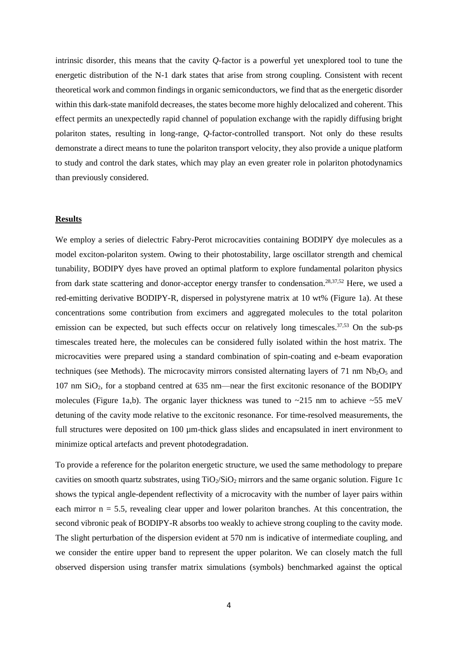intrinsic disorder, this means that the cavity *Q-*factor is a powerful yet unexplored tool to tune the energetic distribution of the N-1 dark states that arise from strong coupling. Consistent with recent theoretical work and common findings in organic semiconductors, we find that as the energetic disorder within this dark-state manifold decreases, the states become more highly delocalized and coherent. This effect permits an unexpectedly rapid channel of population exchange with the rapidly diffusing bright polariton states, resulting in long-range, *Q-*factor-controlled transport. Not only do these results demonstrate a direct means to tune the polariton transport velocity, they also provide a unique platform to study and control the dark states, which may play an even greater role in polariton photodynamics than previously considered.

## **Results**

We employ a series of dielectric Fabry-Perot microcavities containing BODIPY dye molecules as a model exciton-polariton system. Owing to their photostability, large oscillator strength and chemical tunability, BODIPY dyes have proved an optimal platform to explore fundamental polariton physics from dark state scattering and donor-acceptor energy transfer to condensation.<sup>28,37,52</sup> Here, we used a red-emitting derivative BODIPY-R, dispersed in polystyrene matrix at 10 wt% (Figure 1a). At these concentrations some contribution from excimers and aggregated molecules to the total polariton emission can be expected, but such effects occur on relatively long timescales.<sup>37,53</sup> On the sub-ps timescales treated here, the molecules can be considered fully isolated within the host matrix. The microcavities were prepared using a standard combination of spin-coating and e-beam evaporation techniques (see Methods). The microcavity mirrors consisted alternating layers of 71 nm  $Nb<sub>2</sub>O<sub>5</sub>$  and 107 nm SiO2, for a stopband centred at 635 nm—near the first excitonic resonance of the BODIPY molecules (Figure 1a,b). The organic layer thickness was tuned to  $\sim$ 215 nm to achieve  $\sim$ 55 meV detuning of the cavity mode relative to the excitonic resonance. For time-resolved measurements, the full structures were deposited on 100  $\mu$ m-thick glass slides and encapsulated in inert environment to minimize optical artefacts and prevent photodegradation.

To provide a reference for the polariton energetic structure, we used the same methodology to prepare cavities on smooth quartz substrates, using  $TiO_2/SiO_2$  mirrors and the same organic solution. Figure 1c shows the typical angle-dependent reflectivity of a microcavity with the number of layer pairs within each mirror  $n = 5.5$ , revealing clear upper and lower polariton branches. At this concentration, the second vibronic peak of BODIPY-R absorbs too weakly to achieve strong coupling to the cavity mode. The slight perturbation of the dispersion evident at 570 nm is indicative of intermediate coupling, and we consider the entire upper band to represent the upper polariton. We can closely match the full observed dispersion using transfer matrix simulations (symbols) benchmarked against the optical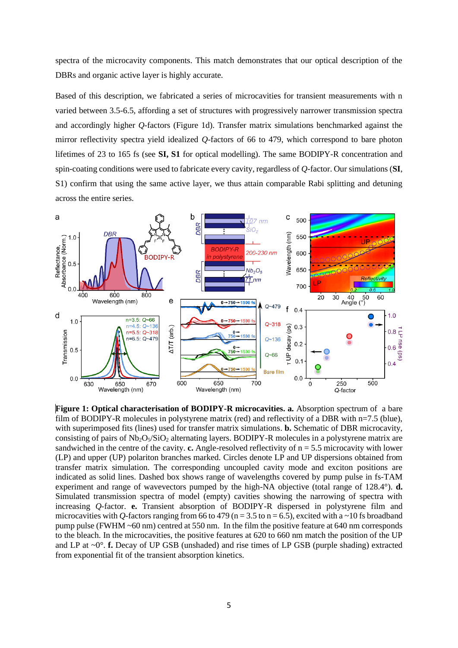spectra of the microcavity components. This match demonstrates that our optical description of the DBRs and organic active layer is highly accurate.

Based of this description, we fabricated a series of microcavities for transient measurements with n varied between 3.5-6.5, affording a set of structures with progressively narrower transmission spectra and accordingly higher *Q-*factors (Figure 1d). Transfer matrix simulations benchmarked against the mirror reflectivity spectra yield idealized *Q-*factors of 66 to 479, which correspond to bare photon lifetimes of 23 to 165 fs (see **SI, S1** for optical modelling). The same BODIPY-R concentration and spin-coating conditions were used to fabricate every cavity, regardless of *Q-*factor. Our simulations (**SI**, S1) confirm that using the same active layer, we thus attain comparable Rabi splitting and detuning across the entire series.



**Figure 1: Optical characterisation of BODIPY-R microcavities. a.** Absorption spectrum of a bare film of BODIPY-R molecules in polystyrene matrix (red) and reflectivity of a DBR with n=7.5 (blue), with superimposed fits (lines) used for transfer matrix simulations. **b.** Schematic of DBR microcavity, consisting of pairs of  $Nb_2O_5/SiO_2$  alternating layers. BODIPY-R molecules in a polystyrene matrix are sandwiched in the centre of the cavity. **c.** Angle-resolved reflectivity of  $n = 5.5$  microcavity with lower (LP) and upper (UP) polariton branches marked. Circles denote LP and UP dispersions obtained from transfer matrix simulation. The corresponding uncoupled cavity mode and exciton positions are indicated as solid lines. Dashed box shows range of wavelengths covered by pump pulse in fs-TAM experiment and range of wavevectors pumped by the high-NA objective (total range of 128.4°). **d.** Simulated transmission spectra of model (empty) cavities showing the narrowing of spectra with increasing *Q-*factor. **e.** Transient absorption of BODIPY-R dispersed in polystyrene film and microcavities with *Q*-factors ranging from 66 to 479 ( $n = 3.5$  to  $n = 6.5$ ), excited with a ~10 fs broadband pump pulse (FWHM ~60 nm) centred at 550 nm. In the film the positive feature at 640 nm corresponds to the bleach. In the microcavities, the positive features at 620 to 660 nm match the position of the UP and LP at ~0°. **f.** Decay of UP GSB (unshaded) and rise times of LP GSB (purple shading) extracted from exponential fit of the transient absorption kinetics.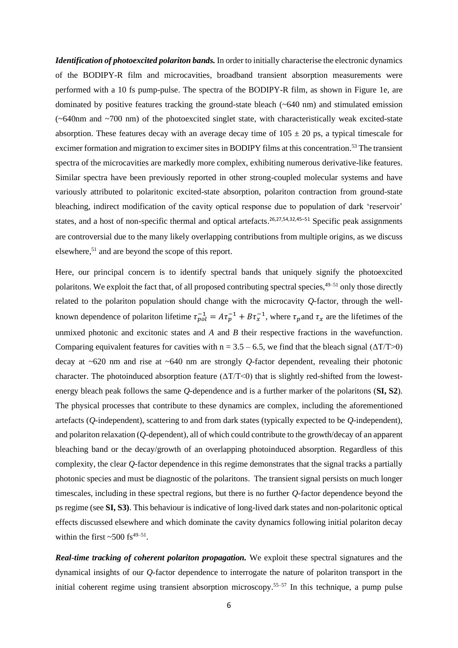*Identification of photoexcited polariton bands.* In order to initially characterise the electronic dynamics of the BODIPY-R film and microcavities, broadband transient absorption measurements were performed with a 10 fs pump-pulse. The spectra of the BODIPY-R film, as shown in Figure 1e, are dominated by positive features tracking the ground-state bleach (~640 nm) and stimulated emission  $(-640$ nm and  $-700$  nm) of the photoexcited singlet state, with characteristically weak excited-state absorption. These features decay with an average decay time of  $105 \pm 20$  ps, a typical timescale for excimer formation and migration to excimer sites in BODIPY films at this concentration.<sup>53</sup> The transient spectra of the microcavities are markedly more complex, exhibiting numerous derivative-like features. Similar spectra have been previously reported in other strong-coupled molecular systems and have variously attributed to polaritonic excited-state absorption, polariton contraction from ground-state bleaching, indirect modification of the cavity optical response due to population of dark 'reservoir' states, and a host of non-specific thermal and optical artefacts.<sup>26,27,54,32,45–51</sup> Specific peak assignments are controversial due to the many likely overlapping contributions from multiple origins, as we discuss elsewhere, <sup>51</sup> and are beyond the scope of this report.

Here, our principal concern is to identify spectral bands that uniquely signify the photoexcited polaritons. We exploit the fact that, of all proposed contributing spectral species, <sup>49–51</sup> only those directly related to the polariton population should change with the microcavity *Q-*factor, through the wellknown dependence of polariton lifetime  $\tau_{pol}^{-1} = A\tau_p^{-1} + B\tau_x^{-1}$ , where  $\tau_p$  and  $\tau_x$  are the lifetimes of the unmixed photonic and excitonic states and *A* and *B* their respective fractions in the wavefunction. Comparing equivalent features for cavities with  $n = 3.5 - 6.5$ , we find that the bleach signal ( $\Delta T/T > 0$ ) decay at ~620 nm and rise at ~640 nm are strongly *Q-*factor dependent, revealing their photonic character. The photoinduced absorption feature  $(\Delta T/T \le 0)$  that is slightly red-shifted from the lowestenergy bleach peak follows the same *Q-*dependence and is a further marker of the polaritons (**SI, S2**). The physical processes that contribute to these dynamics are complex, including the aforementioned artefacts (*Q-*independent), scattering to and from dark states (typically expected to be *Q-*independent), and polariton relaxation (*Q-*dependent), all of which could contribute to the growth/decay of an apparent bleaching band or the decay/growth of an overlapping photoinduced absorption. Regardless of this complexity, the clear *Q-*factor dependence in this regime demonstrates that the signal tracks a partially photonic species and must be diagnostic of the polaritons. The transient signal persists on much longer timescales, including in these spectral regions, but there is no further *Q-*factor dependence beyond the ps regime (see **SI, S3)**. This behaviour is indicative of long-lived dark states and non-polaritonic optical effects discussed elsewhere and which dominate the cavity dynamics following initial polariton decay within the first  $\sim$  500 fs<sup>49–51</sup>.

*Real-time tracking of coherent polariton propagation.* We exploit these spectral signatures and the dynamical insights of our *Q-*factor dependence to interrogate the nature of polariton transport in the initial coherent regime using transient absorption microscopy.<sup>55–57</sup> In this technique, a pump pulse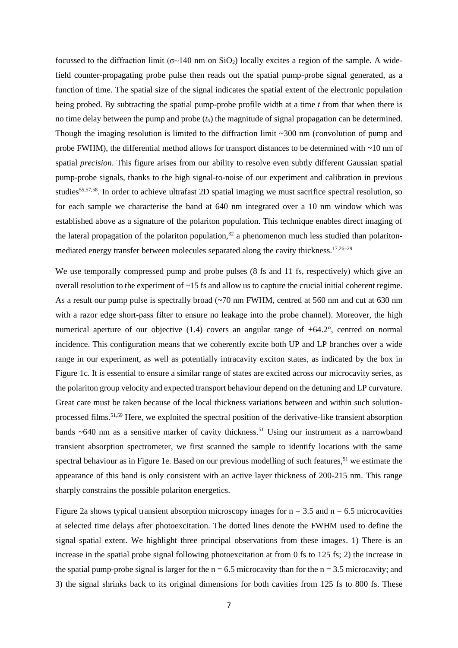focussed to the diffraction limit ( $\sigma$ ~140 nm on SiO<sub>2</sub>) locally excites a region of the sample. A widefield counter-propagating probe pulse then reads out the spatial pump-probe signal generated, as a function of time. The spatial size of the signal indicates the spatial extent of the electronic population being probed. By subtracting the spatial pump-probe profile width at a time *t* from that when there is no time delay between the pump and probe (*t0*) the magnitude of signal propagation can be determined. Though the imaging resolution is limited to the diffraction limit  $\sim$ 300 nm (convolution of pump and probe FWHM), the differential method allows for transport distances to be determined with ~10 nm of spatial *precision*. This figure arises from our ability to resolve even subtly different Gaussian spatial pump-probe signals, thanks to the high signal-to-noise of our experiment and calibration in previous studies<sup>55,57,58</sup>. In order to achieve ultrafast 2D spatial imaging we must sacrifice spectral resolution, so for each sample we characterise the band at 640 nm integrated over a 10 nm window which was established above as a signature of the polariton population. This technique enables direct imaging of the lateral propagation of the polariton population,  $32$  a phenomenon much less studied than polaritonmediated energy transfer between molecules separated along the cavity thickness.17,26–29

We use temporally compressed pump and probe pulses (8 fs and 11 fs, respectively) which give an overall resolution to the experiment of ~15 fs and allow us to capture the crucial initial coherent regime. As a result our pump pulse is spectrally broad (~70 nm FWHM, centred at 560 nm and cut at 630 nm with a razor edge short-pass filter to ensure no leakage into the probe channel). Moreover, the high numerical aperture of our objective (1.4) covers an angular range of  $\pm 64.2^{\circ}$ , centred on normal incidence. This configuration means that we coherently excite both UP and LP branches over a wide range in our experiment, as well as potentially intracavity exciton states, as indicated by the box in Figure 1c. It is essential to ensure a similar range of states are excited across our microcavity series, as the polariton group velocity and expected transport behaviour depend on the detuning and LP curvature. Great care must be taken because of the local thickness variations between and within such solutionprocessed films.51,59 Here, we exploited the spectral position of the derivative-like transient absorption bands  $~640$  nm as a sensitive marker of cavity thickness.<sup>51</sup> Using our instrument as a narrowband transient absorption spectrometer, we first scanned the sample to identify locations with the same spectral behaviour as in Figure 1e. Based on our previous modelling of such features,<sup>51</sup> we estimate the appearance of this band is only consistent with an active layer thickness of 200-215 nm. This range sharply constrains the possible polariton energetics.

Figure 2a shows typical transient absorption microscopy images for  $n = 3.5$  and  $n = 6.5$  microcavities at selected time delays after photoexcitation. The dotted lines denote the FWHM used to define the signal spatial extent. We highlight three principal observations from these images. 1) There is an increase in the spatial probe signal following photoexcitation at from 0 fs to 125 fs; 2) the increase in the spatial pump-probe signal is larger for the  $n = 6.5$  microcavity than for the  $n = 3.5$  microcavity; and 3) the signal shrinks back to its original dimensions for both cavities from 125 fs to 800 fs. These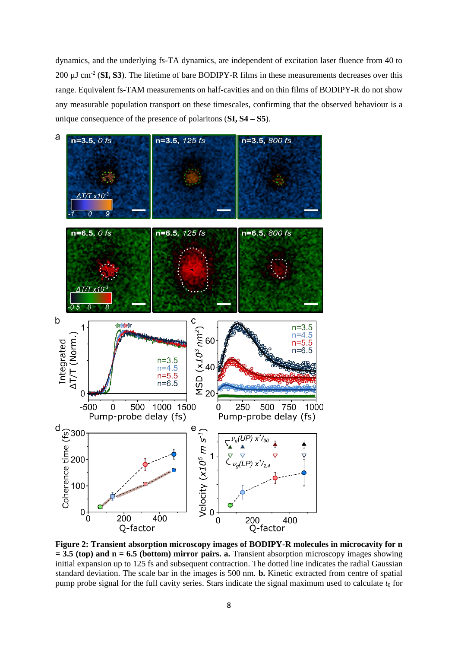dynamics, and the underlying fs-TA dynamics, are independent of excitation laser fluence from 40 to 200 µJ cm-2 (**SI, S3**). The lifetime of bare BODIPY-R films in these measurements decreases over this range. Equivalent fs-TAM measurements on half-cavities and on thin films of BODIPY-R do not show any measurable population transport on these timescales, confirming that the observed behaviour is a unique consequence of the presence of polaritons (**SI, S4 – S5**).



**Figure 2: Transient absorption microscopy images of BODIPY-R molecules in microcavity for n = 3.5 (top) and n = 6.5 (bottom) mirror pairs. a.** Transient absorption microscopy images showing initial expansion up to 125 fs and subsequent contraction. The dotted line indicates the radial Gaussian standard deviation. The scale bar in the images is 500 nm. **b.** Kinetic extracted from centre of spatial pump probe signal for the full cavity series. Stars indicate the signal maximum used to calculate  $t_0$  for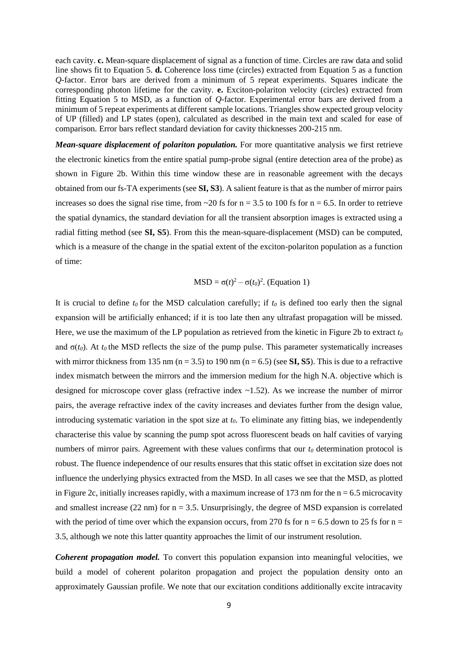each cavity. **c.** Mean-square displacement of signal as a function of time. Circles are raw data and solid line shows fit to Equation 5. **d.** Coherence loss time (circles) extracted from Equation 5 as a function *Q-*factor. Error bars are derived from a minimum of 5 repeat experiments. Squares indicate the corresponding photon lifetime for the cavity. **e.** Exciton-polariton velocity (circles) extracted from fitting Equation 5 to MSD, as a function of *Q-*factor. Experimental error bars are derived from a minimum of 5 repeat experiments at different sample locations. Triangles show expected group velocity of UP (filled) and LP states (open), calculated as described in the main text and scaled for ease of comparison. Error bars reflect standard deviation for cavity thicknesses 200-215 nm.

*Mean-square displacement of polariton population.* For more quantitative analysis we first retrieve the electronic kinetics from the entire spatial pump-probe signal (entire detection area of the probe) as shown in Figure 2b. Within this time window these are in reasonable agreement with the decays obtained from our fs-TA experiments (see **SI, S3**). A salient feature is that as the number of mirror pairs increases so does the signal rise time, from  $\sim$ 20 fs for n = 3.5 to 100 fs for n = 6.5. In order to retrieve the spatial dynamics, the standard deviation for all the transient absorption images is extracted using a radial fitting method (see **SI, S5**). From this the mean-square-displacement (MSD) can be computed, which is a measure of the change in the spatial extent of the exciton-polariton population as a function of time:

$$
MSD = \sigma(t)^2 - \sigma(t_0)^2
$$
. (Equation 1)

It is crucial to define  $t_0$  for the MSD calculation carefully; if  $t_0$  is defined too early then the signal expansion will be artificially enhanced; if it is too late then any ultrafast propagation will be missed. Here, we use the maximum of the LP population as retrieved from the kinetic in Figure 2b to extract *t<sup>0</sup>* and  $\sigma(t_0)$ . At  $t_0$  the MSD reflects the size of the pump pulse. This parameter systematically increases with mirror thickness from 135 nm ( $n = 3.5$ ) to 190 nm ( $n = 6.5$ ) (see **SI, S5**). This is due to a refractive index mismatch between the mirrors and the immersion medium for the high N.A. objective which is designed for microscope cover glass (refractive index ~1.52). As we increase the number of mirror pairs, the average refractive index of the cavity increases and deviates further from the design value, introducing systematic variation in the spot size at *t0*. To eliminate any fitting bias, we independently characterise this value by scanning the pump spot across fluorescent beads on half cavities of varying numbers of mirror pairs. Agreement with these values confirms that our *t<sup>0</sup>* determination protocol is robust. The fluence independence of our results ensures that this static offset in excitation size does not influence the underlying physics extracted from the MSD. In all cases we see that the MSD, as plotted in Figure 2c, initially increases rapidly, with a maximum increase of 173 nm for the  $n = 6.5$  microcavity and smallest increase  $(22 \text{ nm})$  for  $n = 3.5$ . Unsurprisingly, the degree of MSD expansion is correlated with the period of time over which the expansion occurs, from 270 fs for  $n = 6.5$  down to 25 fs for  $n =$ 3.5, although we note this latter quantity approaches the limit of our instrument resolution.

*Coherent propagation model.* To convert this population expansion into meaningful velocities, we build a model of coherent polariton propagation and project the population density onto an approximately Gaussian profile. We note that our excitation conditions additionally excite intracavity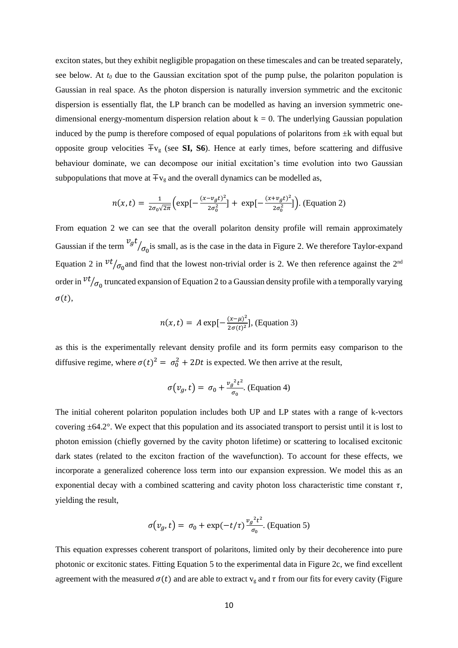exciton states, but they exhibit negligible propagation on these timescales and can be treated separately, see below. At  $t_0$  due to the Gaussian excitation spot of the pump pulse, the polariton population is Gaussian in real space. As the photon dispersion is naturally inversion symmetric and the excitonic dispersion is essentially flat, the LP branch can be modelled as having an inversion symmetric onedimensional energy-momentum dispersion relation about  $k = 0$ . The underlying Gaussian population induced by the pump is therefore composed of equal populations of polaritons from  $\pm k$  with equal but opposite group velocities ∓v<sup>g</sup> (see **SI, S6**). Hence at early times, before scattering and diffusive behaviour dominate, we can decompose our initial excitation's time evolution into two Gaussian subpopulations that move at  $\mp v_g$  and the overall dynamics can be modelled as,

$$
n(x,t) = \frac{1}{2\sigma_0\sqrt{2\pi}} \Big( \exp\big[-\frac{(x-v_g t)^2}{2\sigma_0^2}\big] + \exp\big[-\frac{(x+v_g t)^2}{2\sigma_0^2}\big]\Big). \text{ (Equation 2)}
$$

From equation 2 we can see that the overall polariton density profile will remain approximately Gaussian if the term  $v_g t$  $/_{\sigma_0}$  is small, as is the case in the data in Figure 2. We therefore Taylor-expand Equation 2 in  $vt/_{\sigma_0}$  and find that the lowest non-trivial order is 2. We then reference against the 2<sup>nd</sup> order in  $vt/\sigma_0$  truncated expansion of Equation 2 to a Gaussian density profile with a temporally varying  $\sigma(t)$ ,

$$
n(x,t) = A \exp\left[-\frac{(x-\mu)^2}{2\sigma(t)^2}\right], \text{ (Equation 3)}
$$

as this is the experimentally relevant density profile and its form permits easy comparison to the diffusive regime, where  $\sigma(t)^2 = \sigma_0^2 + 2Dt$  is expected. We then arrive at the result,

$$
\sigma(v_g, t) = \sigma_0 + \frac{v_g^2 t^2}{\sigma_0}.
$$
 (Equation 4)

The initial coherent polariton population includes both UP and LP states with a range of k-vectors covering ±64.2°. We expect that this population and its associated transport to persist until it is lost to photon emission (chiefly governed by the cavity photon lifetime) or scattering to localised excitonic dark states (related to the exciton fraction of the wavefunction). To account for these effects, we incorporate a generalized coherence loss term into our expansion expression. We model this as an exponential decay with a combined scattering and cavity photon loss characteristic time constant  $\tau$ , yielding the result,

$$
\sigma(v_g, t) = \sigma_0 + \exp(-t/\tau) \frac{v_g^2 t^2}{\sigma_0}.
$$
 (Equation 5)

This equation expresses coherent transport of polaritons, limited only by their decoherence into pure photonic or excitonic states. Fitting Equation 5 to the experimental data in Figure 2c, we find excellent agreement with the measured  $\sigma(t)$  and are able to extract  $v_{\rm g}$  and  $\tau$  from our fits for every cavity (Figure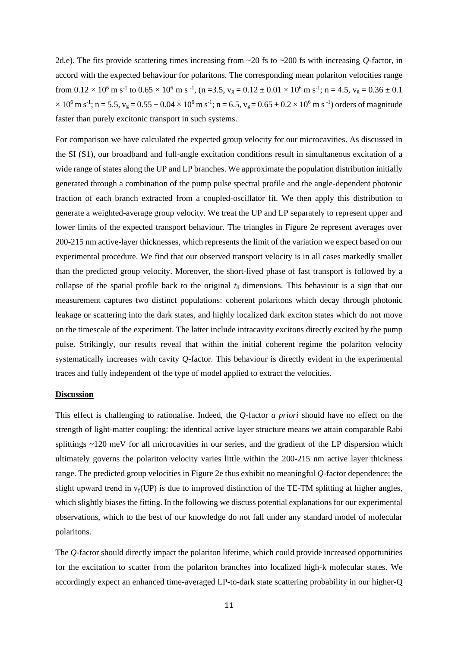2d,e). The fits provide scattering times increasing from ~20 fs to ~200 fs with increasing *Q-*factor, in accord with the expected behaviour for polaritons. The corresponding mean polariton velocities range from  $0.12 \times 10^6$  m s<sup>-1</sup> to  $0.65 \times 10^6$  m s<sup>-1</sup>, (n = 3.5, v<sub>g</sub> =  $0.12 \pm 0.01 \times 10^6$  m s<sup>-1</sup>; n = 4.5, v<sub>g</sub> =  $0.36 \pm 0.1$  $\times$  10<sup>6</sup> m s<sup>-1</sup>; n = 5.5, v<sub>g</sub> = 0.55 ± 0.04  $\times$  10<sup>6</sup> m s<sup>-1</sup>; n = 6.5, v<sub>g</sub> = 0.65 ± 0.2  $\times$  10<sup>6</sup> m s<sup>-1</sup>) orders of magnitude faster than purely excitonic transport in such systems.

For comparison we have calculated the expected group velocity for our microcavities. As discussed in the SI (S1), our broadband and full-angle excitation conditions result in simultaneous excitation of a wide range of states along the UP and LP branches. We approximate the population distribution initially generated through a combination of the pump pulse spectral profile and the angle-dependent photonic fraction of each branch extracted from a coupled-oscillator fit. We then apply this distribution to generate a weighted-average group velocity. We treat the UP and LP separately to represent upper and lower limits of the expected transport behaviour. The triangles in Figure 2e represent averages over 200-215 nm active-layer thicknesses, which represents the limit of the variation we expect based on our experimental procedure. We find that our observed transport velocity is in all cases markedly smaller than the predicted group velocity. Moreover, the short-lived phase of fast transport is followed by a collapse of the spatial profile back to the original *t<sup>0</sup>* dimensions. This behaviour is a sign that our measurement captures two distinct populations: coherent polaritons which decay through photonic leakage or scattering into the dark states, and highly localized dark exciton states which do not move on the timescale of the experiment. The latter include intracavity excitons directly excited by the pump pulse. Strikingly, our results reveal that within the initial coherent regime the polariton velocity systematically increases with cavity *Q-*factor. This behaviour is directly evident in the experimental traces and fully independent of the type of model applied to extract the velocities.

## **Discussion**

This effect is challenging to rationalise. Indeed, the *Q-*factor *a priori* should have no effect on the strength of light-matter coupling: the identical active layer structure means we attain comparable Rabi splittings ~120 meV for all microcavities in our series, and the gradient of the LP dispersion which ultimately governs the polariton velocity varies little within the 200-215 nm active layer thickness range. The predicted group velocities in Figure 2e thus exhibit no meaningful *Q*-factor dependence; the slight upward trend in  $v_s$ (UP) is due to improved distinction of the TE-TM splitting at higher angles, which slightly biases the fitting. In the following we discuss potential explanations for our experimental observations, which to the best of our knowledge do not fall under any standard model of molecular polaritons.

The *Q-*factor should directly impact the polariton lifetime, which could provide increased opportunities for the excitation to scatter from the polariton branches into localized high-k molecular states. We accordingly expect an enhanced time-averaged LP-to-dark state scattering probability in our higher-Q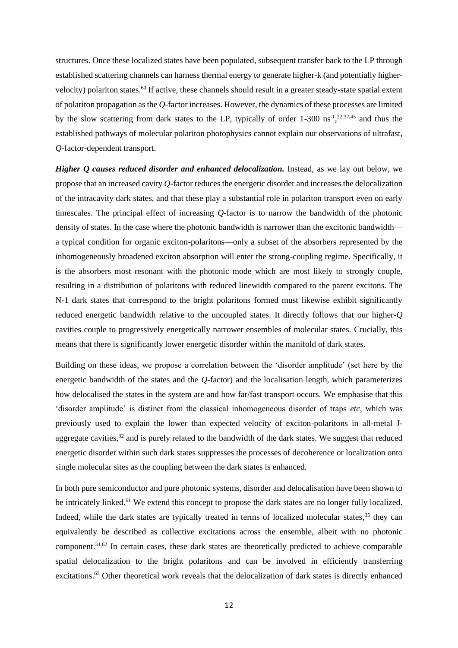structures. Once these localized states have been populated, subsequent transfer back to the LP through established scattering channels can harness thermal energy to generate higher-k (and potentially highervelocity) polariton states.<sup>60</sup> If active, these channels should result in a greater steady-state spatial extent of polariton propagation as the *Q-*factor increases. However, the dynamics of these processes are limited by the slow scattering from dark states to the LP, typically of order 1-300 ns<sup>-1</sup>,<sup>22,37,45</sup> and thus the established pathways of molecular polariton photophysics cannot explain our observations of ultrafast, *Q-*factor-dependent transport.

*Higher Q causes reduced disorder and enhanced delocalization.* Instead, as we lay out below, we propose that an increased cavity *Q-*factor reduces the energetic disorder and increases the delocalization of the intracavity dark states, and that these play a substantial role in polariton transport even on early timescales. The principal effect of increasing *Q-*factor is to narrow the bandwidth of the photonic density of states. In the case where the photonic bandwidth is narrower than the excitonic bandwidth a typical condition for organic exciton-polaritons—only a subset of the absorbers represented by the inhomogeneously broadened exciton absorption will enter the strong-coupling regime. Specifically, it is the absorbers most resonant with the photonic mode which are most likely to strongly couple, resulting in a distribution of polaritons with reduced linewidth compared to the parent excitons. The N-1 dark states that correspond to the bright polaritons formed must likewise exhibit significantly reduced energetic bandwidth relative to the uncoupled states. It directly follows that our higher-*Q* cavities couple to progressively energetically narrower ensembles of molecular states. Crucially, this means that there is significantly lower energetic disorder within the manifold of dark states.

Building on these ideas, we propose a correlation between the 'disorder amplitude' (set here by the energetic bandwidth of the states and the *Q-*factor) and the localisation length, which parameterizes how delocalised the states in the system are and how far/fast transport occurs. We emphasise that this 'disorder amplitude' is distinct from the classical inhomogeneous disorder of traps *etc*, which was previously used to explain the lower than expected velocity of exciton-polaritons in all-metal Jaggregate cavities,  $32$  and is purely related to the bandwidth of the dark states. We suggest that reduced energetic disorder within such dark states suppresses the processes of decoherence or localization onto single molecular sites as the coupling between the dark states is enhanced.

In both pure semiconductor and pure photonic systems, disorder and delocalisation have been shown to be intricately linked.<sup>61</sup> We extend this concept to propose the dark states are no longer fully localized. Indeed, while the dark states are typically treated in terms of localized molecular states,<sup>35</sup> they can equivalently be described as collective excitations across the ensemble, albeit with no photonic component.<sup>34,62</sup> In certain cases, these dark states are theoretically predicted to achieve comparable spatial delocalization to the bright polaritons and can be involved in efficiently transferring excitations.<sup>63</sup> Other theoretical work reveals that the delocalization of dark states is directly enhanced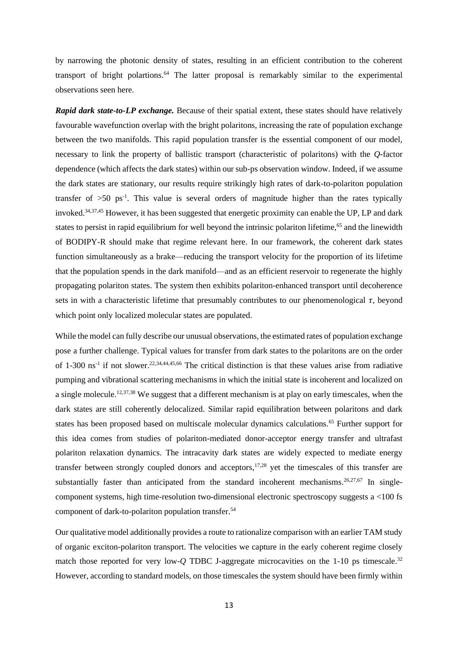by narrowing the photonic density of states, resulting in an efficient contribution to the coherent transport of bright polartions. <sup>64</sup> The latter proposal is remarkably similar to the experimental observations seen here.

*Rapid dark state-to-LP exchange.* Because of their spatial extent, these states should have relatively favourable wavefunction overlap with the bright polaritons, increasing the rate of population exchange between the two manifolds. This rapid population transfer is the essential component of our model, necessary to link the property of ballistic transport (characteristic of polaritons) with the *Q-*factor dependence (which affects the dark states) within our sub-ps observation window. Indeed, if we assume the dark states are stationary, our results require strikingly high rates of dark-to-polariton population transfer of  $>50$  ps<sup>-1</sup>. This value is several orders of magnitude higher than the rates typically invoked. 34,37,45 However, it has been suggested that energetic proximity can enable the UP, LP and dark states to persist in rapid equilibrium for well beyond the intrinsic polariton lifetime,<sup>65</sup> and the linewidth of BODIPY-R should make that regime relevant here. In our framework, the coherent dark states function simultaneously as a brake—reducing the transport velocity for the proportion of its lifetime that the population spends in the dark manifold—and as an efficient reservoir to regenerate the highly propagating polariton states. The system then exhibits polariton-enhanced transport until decoherence sets in with a characteristic lifetime that presumably contributes to our phenomenological  $\tau$ , beyond which point only localized molecular states are populated.

While the model can fully describe our unusual observations, the estimated rates of population exchange pose a further challenge. Typical values for transfer from dark states to the polaritons are on the order of 1-300 ns<sup>-1</sup> if not slower.<sup>22,34,44,45,66</sup> The critical distinction is that these values arise from radiative pumping and vibrational scattering mechanisms in which the initial state is incoherent and localized on a single molecule.<sup>12,37,38</sup> We suggest that a different mechanism is at play on early timescales, when the dark states are still coherently delocalized. Similar rapid equilibration between polaritons and dark states has been proposed based on multiscale molecular dynamics calculations.<sup>65</sup> Further support for this idea comes from studies of polariton-mediated donor-acceptor energy transfer and ultrafast polariton relaxation dynamics. The intracavity dark states are widely expected to mediate energy transfer between strongly coupled donors and acceptors,  $17,28$  yet the timescales of this transfer are substantially faster than anticipated from the standard incoherent mechanisms.<sup>26,27,67</sup> In singlecomponent systems, high time-resolution two-dimensional electronic spectroscopy suggests  $a < 100$  fs component of dark-to-polariton population transfer. 54

Our qualitative model additionally provides a route to rationalize comparison with an earlier TAM study of organic exciton-polariton transport. The velocities we capture in the early coherent regime closely match those reported for very low-Q TDBC J-aggregate microcavities on the 1-10 ps timescale.<sup>32</sup> However, according to standard models, on those timescales the system should have been firmly within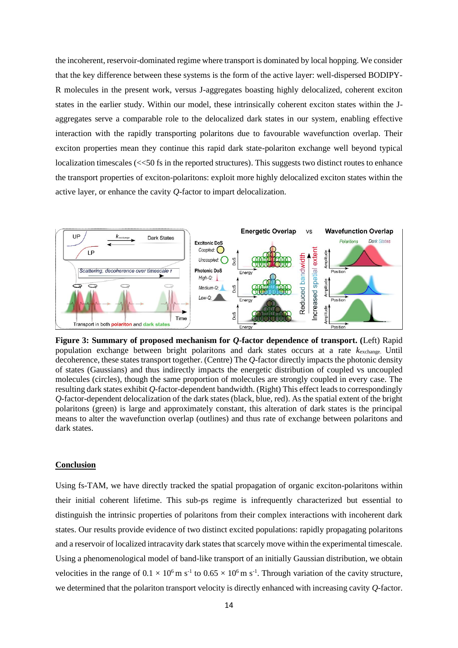the incoherent, reservoir-dominated regime where transport is dominated by local hopping. We consider that the key difference between these systems is the form of the active layer: well-dispersed BODIPY-R molecules in the present work, versus J-aggregates boasting highly delocalized, coherent exciton states in the earlier study. Within our model, these intrinsically coherent exciton states within the Jaggregates serve a comparable role to the delocalized dark states in our system, enabling effective interaction with the rapidly transporting polaritons due to favourable wavefunction overlap. Their exciton properties mean they continue this rapid dark state-polariton exchange well beyond typical localization timescales (<<50 fs in the reported structures). This suggests two distinct routes to enhance the transport properties of exciton-polaritons: exploit more highly delocalized exciton states within the active layer, or enhance the cavity *Q-*factor to impart delocalization.



**Figure 3: Summary of proposed mechanism for** *Q-***factor dependence of transport. (**Left) Rapid population exchange between bright polaritons and dark states occurs at a rate *k*exchange. Until decoherence, these states transport together. (Centre) The *Q-*factor directly impacts the photonic density of states (Gaussians) and thus indirectly impacts the energetic distribution of coupled vs uncoupled molecules (circles), though the same proportion of molecules are strongly coupled in every case. The resulting dark states exhibit *Q*-factor-dependent bandwidth. (Right) This effect leads to correspondingly *Q*-factor-dependent delocalization of the dark states (black, blue, red). As the spatial extent of the bright polaritons (green) is large and approximately constant, this alteration of dark states is the principal means to alter the wavefunction overlap (outlines) and thus rate of exchange between polaritons and dark states.

## **Conclusion**

Using fs-TAM, we have directly tracked the spatial propagation of organic exciton-polaritons within their initial coherent lifetime. This sub-ps regime is infrequently characterized but essential to distinguish the intrinsic properties of polaritons from their complex interactions with incoherent dark states. Our results provide evidence of two distinct excited populations: rapidly propagating polaritons and a reservoir of localized intracavity dark states that scarcely move within the experimental timescale. Using a phenomenological model of band-like transport of an initially Gaussian distribution, we obtain velocities in the range of  $0.1 \times 10^6$  m s<sup>-1</sup> to  $0.65 \times 10^6$  m s<sup>-1</sup>. Through variation of the cavity structure, we determined that the polariton transport velocity is directly enhanced with increasing cavity *Q-*factor.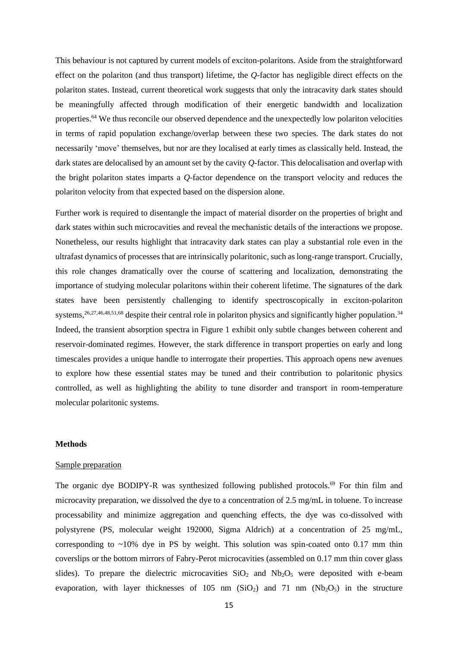This behaviour is not captured by current models of exciton-polaritons. Aside from the straightforward effect on the polariton (and thus transport) lifetime, the *Q-*factor has negligible direct effects on the polariton states. Instead, current theoretical work suggests that only the intracavity dark states should be meaningfully affected through modification of their energetic bandwidth and localization properties.<sup>64</sup> We thus reconcile our observed dependence and the unexpectedly low polariton velocities in terms of rapid population exchange/overlap between these two species. The dark states do not necessarily 'move' themselves, but nor are they localised at early times as classically held. Instead, the dark states are delocalised by an amount set by the cavity *Q-*factor. This delocalisation and overlap with the bright polariton states imparts a *Q-*factor dependence on the transport velocity and reduces the polariton velocity from that expected based on the dispersion alone.

Further work is required to disentangle the impact of material disorder on the properties of bright and dark states within such microcavities and reveal the mechanistic details of the interactions we propose. Nonetheless, our results highlight that intracavity dark states can play a substantial role even in the ultrafast dynamics of processes that are intrinsically polaritonic, such as long-range transport. Crucially, this role changes dramatically over the course of scattering and localization, demonstrating the importance of studying molecular polaritons within their coherent lifetime. The signatures of the dark states have been persistently challenging to identify spectroscopically in exciton-polariton systems,  $26,27,46,48,51,68$  despite their central role in polariton physics and significantly higher population.<sup>34</sup> Indeed, the transient absorption spectra in Figure 1 exhibit only subtle changes between coherent and reservoir-dominated regimes. However, the stark difference in transport properties on early and long timescales provides a unique handle to interrogate their properties. This approach opens new avenues to explore how these essential states may be tuned and their contribution to polaritonic physics controlled, as well as highlighting the ability to tune disorder and transport in room-temperature molecular polaritonic systems.

#### **Methods**

## Sample preparation

The organic dye BODIPY-R was synthesized following published protocols.<sup>69</sup> For thin film and microcavity preparation, we dissolved the dye to a concentration of 2.5 mg/mL in toluene. To increase processability and minimize aggregation and quenching effects, the dye was co-dissolved with polystyrene (PS, molecular weight 192000, Sigma Aldrich) at a concentration of 25 mg/mL, corresponding to  $\sim$ 10% dye in PS by weight. This solution was spin-coated onto 0.17 mm thin coverslips or the bottom mirrors of Fabry-Perot microcavities (assembled on 0.17 mm thin cover glass slides). To prepare the dielectric microcavities  $SiO<sub>2</sub>$  and  $Nb<sub>2</sub>O<sub>5</sub>$  were deposited with e-beam evaporation, with layer thicknesses of 105 nm  $(SiO<sub>2</sub>)$  and 71 nm  $(Nb<sub>2</sub>O<sub>5</sub>)$  in the structure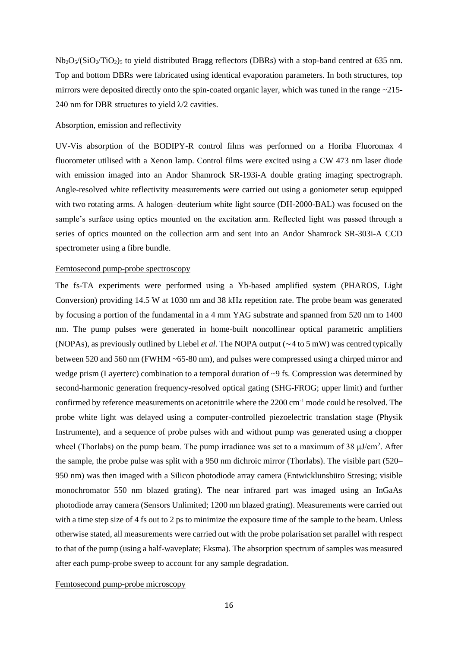$Nb_2O<sub>5</sub>/(SiO<sub>2</sub>/TiO<sub>2</sub>)<sub>5</sub>$  to yield distributed Bragg reflectors (DBRs) with a stop-band centred at 635 nm. Top and bottom DBRs were fabricated using identical evaporation parameters. In both structures, top mirrors were deposited directly onto the spin-coated organic layer, which was tuned in the range ~215-240 nm for DBR structures to yield  $\lambda$ /2 cavities.

#### Absorption, emission and reflectivity

UV-Vis absorption of the BODIPY-R control films was performed on a Horiba Fluoromax 4 fluorometer utilised with a Xenon lamp. Control films were excited using a CW 473 nm laser diode with emission imaged into an Andor Shamrock SR-193i-A double grating imaging spectrograph. Angle-resolved white reflectivity measurements were carried out using a goniometer setup equipped with two rotating arms. A halogen–deuterium white light source (DH-2000-BAL) was focused on the sample's surface using optics mounted on the excitation arm. Reflected light was passed through a series of optics mounted on the collection arm and sent into an Andor Shamrock SR-303i-A CCD spectrometer using a fibre bundle.

## Femtosecond pump-probe spectroscopy

The fs-TA experiments were performed using a Yb-based amplified system (PHAROS, Light Conversion) providing 14.5 W at 1030 nm and 38 kHz repetition rate. The probe beam was generated by focusing a portion of the fundamental in a 4 mm YAG substrate and spanned from 520 nm to 1400 nm. The pump pulses were generated in home-built noncollinear optical parametric amplifiers (NOPAs), as previously outlined by Liebel *et al*. The NOPA output (∼4 to 5 mW) was centred typically between 520 and 560 nm (FWHM ~65-80 nm), and pulses were compressed using a chirped mirror and wedge prism (Layerterc) combination to a temporal duration of  $\sim$ 9 fs. Compression was determined by second-harmonic generation frequency-resolved optical gating (SHG-FROG; upper limit) and further confirmed by reference measurements on acetonitrile where the 2200 cm<sup>-1</sup> mode could be resolved. The probe white light was delayed using a computer-controlled piezoelectric translation stage (Physik Instrumente), and a sequence of probe pulses with and without pump was generated using a chopper wheel (Thorlabs) on the pump beam. The pump irradiance was set to a maximum of 38 μJ/cm<sup>2</sup>. After the sample, the probe pulse was split with a 950 nm dichroic mirror (Thorlabs). The visible part (520– 950 nm) was then imaged with a Silicon photodiode array camera (Entwicklunsbüro Stresing; visible monochromator 550 nm blazed grating). The near infrared part was imaged using an InGaAs photodiode array camera (Sensors Unlimited; 1200 nm blazed grating). Measurements were carried out with a time step size of 4 fs out to 2 ps to minimize the exposure time of the sample to the beam. Unless otherwise stated, all measurements were carried out with the probe polarisation set parallel with respect to that of the pump (using a half-waveplate; Eksma). The absorption spectrum of samples was measured after each pump-probe sweep to account for any sample degradation.

## Femtosecond pump-probe microscopy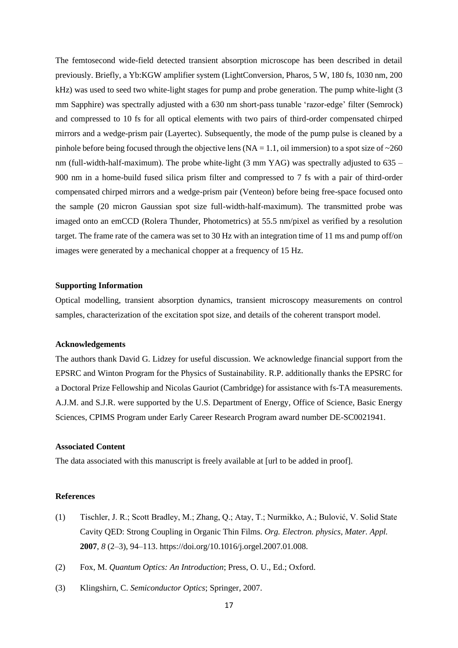The femtosecond wide-field detected transient absorption microscope has been described in detail previously. Briefly, a Yb:KGW amplifier system (LightConversion, Pharos, 5 W, 180 fs, 1030 nm, 200 kHz) was used to seed two white-light stages for pump and probe generation. The pump white-light (3) mm Sapphire) was spectrally adjusted with a 630 nm short-pass tunable 'razor-edge' filter (Semrock) and compressed to 10 fs for all optical elements with two pairs of third-order compensated chirped mirrors and a wedge-prism pair (Layertec). Subsequently, the mode of the pump pulse is cleaned by a pinhole before being focused through the objective lens ( $NA = 1.1$ , oil immersion) to a spot size of  $\sim 260$ nm (full-width-half-maximum). The probe white-light (3 mm YAG) was spectrally adjusted to 635 – 900 nm in a home-build fused silica prism filter and compressed to 7 fs with a pair of third-order compensated chirped mirrors and a wedge-prism pair (Venteon) before being free-space focused onto the sample (20 micron Gaussian spot size full-width-half-maximum). The transmitted probe was imaged onto an emCCD (Rolera Thunder, Photometrics) at 55.5 nm/pixel as verified by a resolution target. The frame rate of the camera was set to 30 Hz with an integration time of 11 ms and pump off/on images were generated by a mechanical chopper at a frequency of 15 Hz.

# **Supporting Information**

Optical modelling, transient absorption dynamics, transient microscopy measurements on control samples, characterization of the excitation spot size, and details of the coherent transport model.

## **Acknowledgements**

The authors thank David G. Lidzey for useful discussion. We acknowledge financial support from the EPSRC and Winton Program for the Physics of Sustainability. R.P. additionally thanks the EPSRC for a Doctoral Prize Fellowship and Nicolas Gauriot (Cambridge) for assistance with fs-TA measurements. A.J.M. and S.J.R. were supported by the U.S. Department of Energy, Office of Science, Basic Energy Sciences, CPIMS Program under Early Career Research Program award number DE-SC0021941.

## **Associated Content**

The data associated with this manuscript is freely available at [url to be added in proof].

#### **References**

- (1) Tischler, J. R.; Scott Bradley, M.; Zhang, Q.; Atay, T.; Nurmikko, A.; Bulović, V. Solid State Cavity QED: Strong Coupling in Organic Thin Films. *Org. Electron. physics, Mater. Appl.* **2007**, *8* (2–3), 94–113. https://doi.org/10.1016/j.orgel.2007.01.008.
- (2) Fox, M. *Quantum Optics: An Introduction*; Press, O. U., Ed.; Oxford.
- (3) Klingshirn, C. *Semiconductor Optics*; Springer, 2007.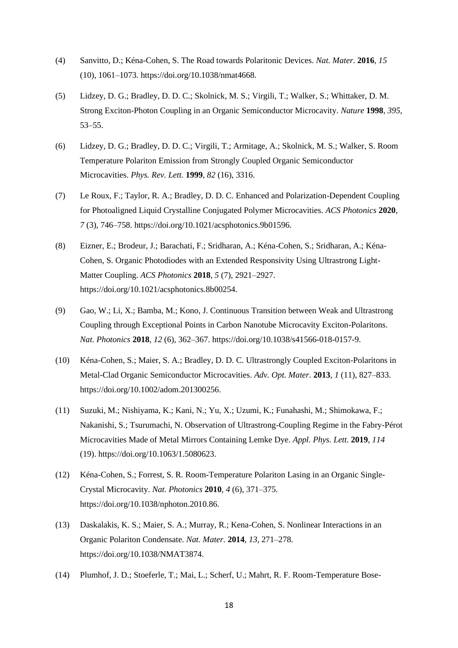- (4) Sanvitto, D.; Kéna-Cohen, S. The Road towards Polaritonic Devices. *Nat. Mater.* **2016**, *15* (10), 1061–1073. https://doi.org/10.1038/nmat4668.
- (5) Lidzey, D. G.; Bradley, D. D. C.; Skolnick, M. S.; Virgili, T.; Walker, S.; Whittaker, D. M. Strong Exciton-Photon Coupling in an Organic Semiconductor Microcavity. *Nature* **1998**, *395*, 53–55.
- (6) Lidzey, D. G.; Bradley, D. D. C.; Virgili, T.; Armitage, A.; Skolnick, M. S.; Walker, S. Room Temperature Polariton Emission from Strongly Coupled Organic Semiconductor Microcavities. *Phys. Rev. Lett.* **1999**, *82* (16), 3316.
- (7) Le Roux, F.; Taylor, R. A.; Bradley, D. D. C. Enhanced and Polarization-Dependent Coupling for Photoaligned Liquid Crystalline Conjugated Polymer Microcavities. *ACS Photonics* **2020**, *7* (3), 746–758. https://doi.org/10.1021/acsphotonics.9b01596.
- (8) Eizner, E.; Brodeur, J.; Barachati, F.; Sridharan, A.; Kéna-Cohen, S.; Sridharan, A.; Kéna-Cohen, S. Organic Photodiodes with an Extended Responsivity Using Ultrastrong Light-Matter Coupling. *ACS Photonics* **2018**, *5* (7), 2921–2927. https://doi.org/10.1021/acsphotonics.8b00254.
- (9) Gao, W.; Li, X.; Bamba, M.; Kono, J. Continuous Transition between Weak and Ultrastrong Coupling through Exceptional Points in Carbon Nanotube Microcavity Exciton-Polaritons. *Nat. Photonics* **2018**, *12* (6), 362–367. https://doi.org/10.1038/s41566-018-0157-9.
- (10) Kéna-Cohen, S.; Maier, S. A.; Bradley, D. D. C. Ultrastrongly Coupled Exciton-Polaritons in Metal-Clad Organic Semiconductor Microcavities. *Adv. Opt. Mater.* **2013**, *1* (11), 827–833. https://doi.org/10.1002/adom.201300256.
- (11) Suzuki, M.; Nishiyama, K.; Kani, N.; Yu, X.; Uzumi, K.; Funahashi, M.; Shimokawa, F.; Nakanishi, S.; Tsurumachi, N. Observation of Ultrastrong-Coupling Regime in the Fabry-Pérot Microcavities Made of Metal Mirrors Containing Lemke Dye. *Appl. Phys. Lett.* **2019**, *114* (19). https://doi.org/10.1063/1.5080623.
- (12) Kéna-Cohen, S.; Forrest, S. R. Room-Temperature Polariton Lasing in an Organic Single-Crystal Microcavity. *Nat. Photonics* **2010**, *4* (6), 371–375. https://doi.org/10.1038/nphoton.2010.86.
- (13) Daskalakis, K. S.; Maier, S. A.; Murray, R.; Kena-Cohen, S. Nonlinear Interactions in an Organic Polariton Condensate. *Nat. Mater.* **2014**, *13*, 271–278. https://doi.org/10.1038/NMAT3874.
- (14) Plumhof, J. D.; Stoeferle, T.; Mai, L.; Scherf, U.; Mahrt, R. F. Room-Temperature Bose-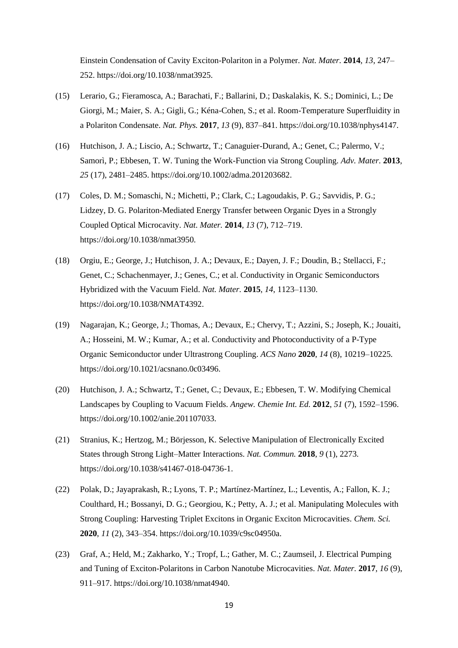Einstein Condensation of Cavity Exciton-Polariton in a Polymer. *Nat. Mater.* **2014**, *13*, 247– 252. https://doi.org/10.1038/nmat3925.

- (15) Lerario, G.; Fieramosca, A.; Barachati, F.; Ballarini, D.; Daskalakis, K. S.; Dominici, L.; De Giorgi, M.; Maier, S. A.; Gigli, G.; Kéna-Cohen, S.; et al. Room-Temperature Superfluidity in a Polariton Condensate. *Nat. Phys.* **2017**, *13* (9), 837–841. https://doi.org/10.1038/nphys4147.
- (16) Hutchison, J. A.; Liscio, A.; Schwartz, T.; Canaguier-Durand, A.; Genet, C.; Palermo, V.; Samorì, P.; Ebbesen, T. W. Tuning the Work-Function via Strong Coupling. *Adv. Mater.* **2013**, *25* (17), 2481–2485. https://doi.org/10.1002/adma.201203682.
- (17) Coles, D. M.; Somaschi, N.; Michetti, P.; Clark, C.; Lagoudakis, P. G.; Savvidis, P. G.; Lidzey, D. G. Polariton-Mediated Energy Transfer between Organic Dyes in a Strongly Coupled Optical Microcavity. *Nat. Mater.* **2014**, *13* (7), 712–719. https://doi.org/10.1038/nmat3950.
- (18) Orgiu, E.; George, J.; Hutchison, J. A.; Devaux, E.; Dayen, J. F.; Doudin, B.; Stellacci, F.; Genet, C.; Schachenmayer, J.; Genes, C.; et al. Conductivity in Organic Semiconductors Hybridized with the Vacuum Field. *Nat. Mater.* **2015**, *14*, 1123–1130. https://doi.org/10.1038/NMAT4392.
- (19) Nagarajan, K.; George, J.; Thomas, A.; Devaux, E.; Chervy, T.; Azzini, S.; Joseph, K.; Jouaiti, A.; Hosseini, M. W.; Kumar, A.; et al. Conductivity and Photoconductivity of a P-Type Organic Semiconductor under Ultrastrong Coupling. *ACS Nano* **2020**, *14* (8), 10219–10225. https://doi.org/10.1021/acsnano.0c03496.
- (20) Hutchison, J. A.; Schwartz, T.; Genet, C.; Devaux, E.; Ebbesen, T. W. Modifying Chemical Landscapes by Coupling to Vacuum Fields. *Angew. Chemie Int. Ed.* **2012**, *51* (7), 1592–1596. https://doi.org/10.1002/anie.201107033.
- (21) Stranius, K.; Hertzog, M.; Börjesson, K. Selective Manipulation of Electronically Excited States through Strong Light–Matter Interactions. *Nat. Commun.* **2018**, *9* (1), 2273. https://doi.org/10.1038/s41467-018-04736-1.
- (22) Polak, D.; Jayaprakash, R.; Lyons, T. P.; Martínez-Martínez, L.; Leventis, A.; Fallon, K. J.; Coulthard, H.; Bossanyi, D. G.; Georgiou, K.; Petty, A. J.; et al. Manipulating Molecules with Strong Coupling: Harvesting Triplet Excitons in Organic Exciton Microcavities. *Chem. Sci.* **2020**, *11* (2), 343–354. https://doi.org/10.1039/c9sc04950a.
- (23) Graf, A.; Held, M.; Zakharko, Y.; Tropf, L.; Gather, M. C.; Zaumseil, J. Electrical Pumping and Tuning of Exciton-Polaritons in Carbon Nanotube Microcavities. *Nat. Mater.* **2017**, *16* (9), 911–917. https://doi.org/10.1038/nmat4940.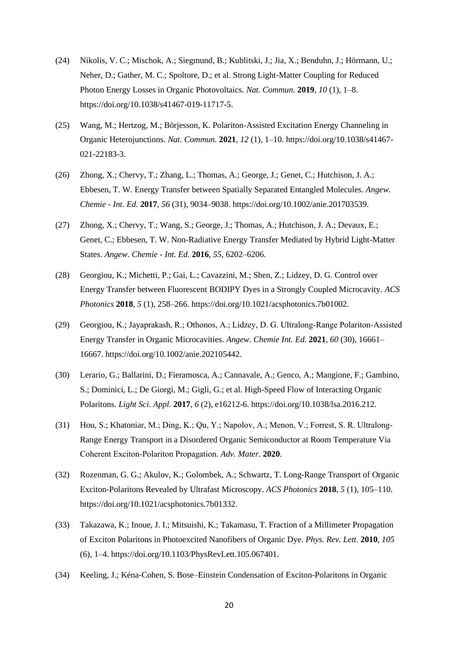- (24) Nikolis, V. C.; Mischok, A.; Siegmund, B.; Kublitski, J.; Jia, X.; Benduhn, J.; Hörmann, U.; Neher, D.; Gather, M. C.; Spoltore, D.; et al. Strong Light-Matter Coupling for Reduced Photon Energy Losses in Organic Photovoltaics. *Nat. Commun.* **2019**, *10* (1), 1–8. https://doi.org/10.1038/s41467-019-11717-5.
- (25) Wang, M.; Hertzog, M.; Börjesson, K. Polariton-Assisted Excitation Energy Channeling in Organic Heterojunctions. *Nat. Commun.* **2021**, *12* (1), 1–10. https://doi.org/10.1038/s41467- 021-22183-3.
- (26) Zhong, X.; Chervy, T.; Zhang, L.; Thomas, A.; George, J.; Genet, C.; Hutchison, J. A.; Ebbesen, T. W. Energy Transfer between Spatially Separated Entangled Molecules. *Angew. Chemie - Int. Ed.* **2017**, *56* (31), 9034–9038. https://doi.org/10.1002/anie.201703539.
- (27) Zhong, X.; Chervy, T.; Wang, S.; George, J.; Thomas, A.; Hutchison, J. A.; Devaux, E.; Genet, C.; Ebbesen, T. W. Non-Radiative Energy Transfer Mediated by Hybrid Light-Matter States. *Angew. Chemie - Int. Ed.* **2016**, *55*, 6202–6206.
- (28) Georgiou, K.; Michetti, P.; Gai, L.; Cavazzini, M.; Shen, Z.; Lidzey, D. G. Control over Energy Transfer between Fluorescent BODIPY Dyes in a Strongly Coupled Microcavity. *ACS Photonics* **2018**, *5* (1), 258–266. https://doi.org/10.1021/acsphotonics.7b01002.
- (29) Georgiou, K.; Jayaprakash, R.; Othonos, A.; Lidzey, D. G. Ultralong‐Range Polariton‐Assisted Energy Transfer in Organic Microcavities. *Angew. Chemie Int. Ed.* **2021**, *60* (30), 16661– 16667. https://doi.org/10.1002/anie.202105442.
- (30) Lerario, G.; Ballarini, D.; Fieramosca, A.; Cannavale, A.; Genco, A.; Mangione, F.; Gambino, S.; Dominici, L.; De Giorgi, M.; Gigli, G.; et al. High-Speed Flow of Interacting Organic Polaritons. *Light Sci. Appl.* **2017**, *6* (2), e16212-6. https://doi.org/10.1038/lsa.2016.212.
- (31) Hou, S.; Khatoniar, M.; Ding, K.; Qu, Y.; Napolov, A.; Menon, V.; Forrest, S. R. Ultralong‐ Range Energy Transport in a Disordered Organic Semiconductor at Room Temperature Via Coherent Exciton‐Polariton Propagation. *Adv. Mater.* **2020**.
- (32) Rozenman, G. G.; Akulov, K.; Golombek, A.; Schwartz, T. Long-Range Transport of Organic Exciton-Polaritons Revealed by Ultrafast Microscopy. *ACS Photonics* **2018**, *5* (1), 105–110. https://doi.org/10.1021/acsphotonics.7b01332.
- (33) Takazawa, K.; Inoue, J. I.; Mitsuishi, K.; Takamasu, T. Fraction of a Millimeter Propagation of Exciton Polaritons in Photoexcited Nanofibers of Organic Dye. *Phys. Rev. Lett.* **2010**, *105* (6), 1–4. https://doi.org/10.1103/PhysRevLett.105.067401.
- (34) Keeling, J.; Kéna-Cohen, S. Bose–Einstein Condensation of Exciton-Polaritons in Organic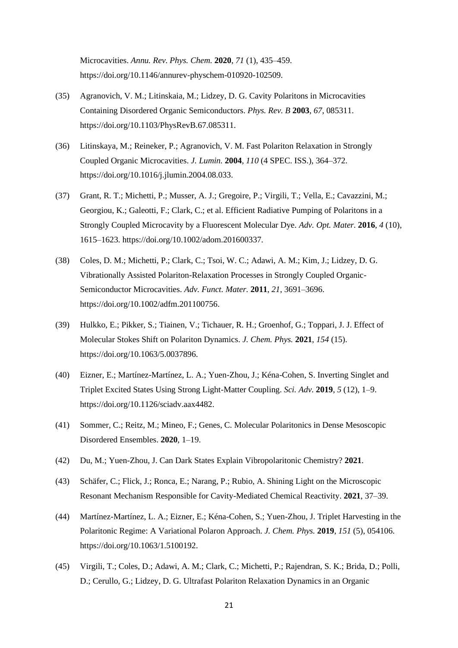Microcavities. *Annu. Rev. Phys. Chem.* **2020**, *71* (1), 435–459. https://doi.org/10.1146/annurev-physchem-010920-102509.

- (35) Agranovich, V. M.; Litinskaia, M.; Lidzey, D. G. Cavity Polaritons in Microcavities Containing Disordered Organic Semiconductors. *Phys. Rev. B* **2003**, *67*, 085311. https://doi.org/10.1103/PhysRevB.67.085311.
- (36) Litinskaya, M.; Reineker, P.; Agranovich, V. M. Fast Polariton Relaxation in Strongly Coupled Organic Microcavities. *J. Lumin.* **2004**, *110* (4 SPEC. ISS.), 364–372. https://doi.org/10.1016/j.jlumin.2004.08.033.
- (37) Grant, R. T.; Michetti, P.; Musser, A. J.; Gregoire, P.; Virgili, T.; Vella, E.; Cavazzini, M.; Georgiou, K.; Galeotti, F.; Clark, C.; et al. Efficient Radiative Pumping of Polaritons in a Strongly Coupled Microcavity by a Fluorescent Molecular Dye. *Adv. Opt. Mater.* **2016**, *4* (10), 1615–1623. https://doi.org/10.1002/adom.201600337.
- (38) Coles, D. M.; Michetti, P.; Clark, C.; Tsoi, W. C.; Adawi, A. M.; Kim, J.; Lidzey, D. G. Vibrationally Assisted Polariton-Relaxation Processes in Strongly Coupled Organic-Semiconductor Microcavities. *Adv. Funct. Mater.* **2011**, *21*, 3691–3696. https://doi.org/10.1002/adfm.201100756.
- (39) Hulkko, E.; Pikker, S.; Tiainen, V.; Tichauer, R. H.; Groenhof, G.; Toppari, J. J. Effect of Molecular Stokes Shift on Polariton Dynamics. *J. Chem. Phys.* **2021**, *154* (15). https://doi.org/10.1063/5.0037896.
- (40) Eizner, E.; Martínez-Martínez, L. A.; Yuen-Zhou, J.; Kéna-Cohen, S. Inverting Singlet and Triplet Excited States Using Strong Light-Matter Coupling. *Sci. Adv.* **2019**, *5* (12), 1–9. https://doi.org/10.1126/sciadv.aax4482.
- (41) Sommer, C.; Reitz, M.; Mineo, F.; Genes, C. Molecular Polaritonics in Dense Mesoscopic Disordered Ensembles. **2020**, 1–19.
- (42) Du, M.; Yuen-Zhou, J. Can Dark States Explain Vibropolaritonic Chemistry? **2021**.
- (43) Schäfer, C.; Flick, J.; Ronca, E.; Narang, P.; Rubio, A. Shining Light on the Microscopic Resonant Mechanism Responsible for Cavity-Mediated Chemical Reactivity. **2021**, 37–39.
- (44) Martínez-Martínez, L. A.; Eizner, E.; Kéna-Cohen, S.; Yuen-Zhou, J. Triplet Harvesting in the Polaritonic Regime: A Variational Polaron Approach. *J. Chem. Phys.* **2019**, *151* (5), 054106. https://doi.org/10.1063/1.5100192.
- (45) Virgili, T.; Coles, D.; Adawi, A. M.; Clark, C.; Michetti, P.; Rajendran, S. K.; Brida, D.; Polli, D.; Cerullo, G.; Lidzey, D. G. Ultrafast Polariton Relaxation Dynamics in an Organic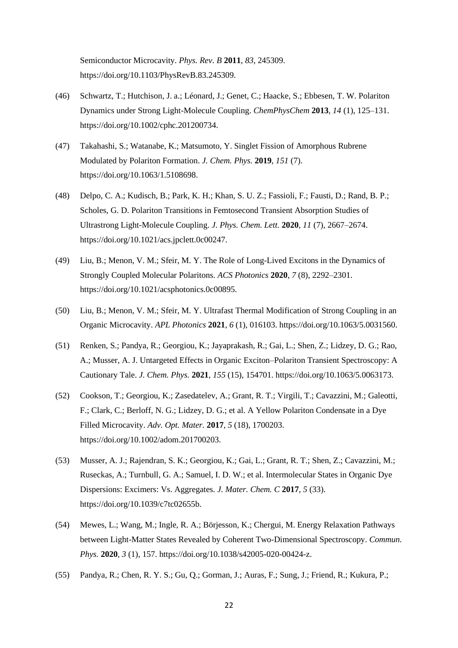Semiconductor Microcavity. *Phys. Rev. B* **2011**, *83*, 245309. https://doi.org/10.1103/PhysRevB.83.245309.

- (46) Schwartz, T.; Hutchison, J. a.; Léonard, J.; Genet, C.; Haacke, S.; Ebbesen, T. W. Polariton Dynamics under Strong Light-Molecule Coupling. *ChemPhysChem* **2013**, *14* (1), 125–131. https://doi.org/10.1002/cphc.201200734.
- (47) Takahashi, S.; Watanabe, K.; Matsumoto, Y. Singlet Fission of Amorphous Rubrene Modulated by Polariton Formation. *J. Chem. Phys.* **2019**, *151* (7). https://doi.org/10.1063/1.5108698.
- (48) Delpo, C. A.; Kudisch, B.; Park, K. H.; Khan, S. U. Z.; Fassioli, F.; Fausti, D.; Rand, B. P.; Scholes, G. D. Polariton Transitions in Femtosecond Transient Absorption Studies of Ultrastrong Light-Molecule Coupling. *J. Phys. Chem. Lett.* **2020**, *11* (7), 2667–2674. https://doi.org/10.1021/acs.jpclett.0c00247.
- (49) Liu, B.; Menon, V. M.; Sfeir, M. Y. The Role of Long-Lived Excitons in the Dynamics of Strongly Coupled Molecular Polaritons. *ACS Photonics* **2020**, *7* (8), 2292–2301. https://doi.org/10.1021/acsphotonics.0c00895.
- (50) Liu, B.; Menon, V. M.; Sfeir, M. Y. Ultrafast Thermal Modification of Strong Coupling in an Organic Microcavity. *APL Photonics* **2021**, *6* (1), 016103. https://doi.org/10.1063/5.0031560.
- (51) Renken, S.; Pandya, R.; Georgiou, K.; Jayaprakash, R.; Gai, L.; Shen, Z.; Lidzey, D. G.; Rao, A.; Musser, A. J. Untargeted Effects in Organic Exciton–Polariton Transient Spectroscopy: A Cautionary Tale. *J. Chem. Phys.* **2021**, *155* (15), 154701. https://doi.org/10.1063/5.0063173.
- (52) Cookson, T.; Georgiou, K.; Zasedatelev, A.; Grant, R. T.; Virgili, T.; Cavazzini, M.; Galeotti, F.; Clark, C.; Berloff, N. G.; Lidzey, D. G.; et al. A Yellow Polariton Condensate in a Dye Filled Microcavity. *Adv. Opt. Mater.* **2017**, *5* (18), 1700203. https://doi.org/10.1002/adom.201700203.
- (53) Musser, A. J.; Rajendran, S. K.; Georgiou, K.; Gai, L.; Grant, R. T.; Shen, Z.; Cavazzini, M.; Ruseckas, A.; Turnbull, G. A.; Samuel, I. D. W.; et al. Intermolecular States in Organic Dye Dispersions: Excimers: Vs. Aggregates. *J. Mater. Chem. C* **2017**, *5* (33). https://doi.org/10.1039/c7tc02655b.
- (54) Mewes, L.; Wang, M.; Ingle, R. A.; Börjesson, K.; Chergui, M. Energy Relaxation Pathways between Light-Matter States Revealed by Coherent Two-Dimensional Spectroscopy. *Commun. Phys.* **2020**, *3* (1), 157. https://doi.org/10.1038/s42005-020-00424-z.
- (55) Pandya, R.; Chen, R. Y. S.; Gu, Q.; Gorman, J.; Auras, F.; Sung, J.; Friend, R.; Kukura, P.;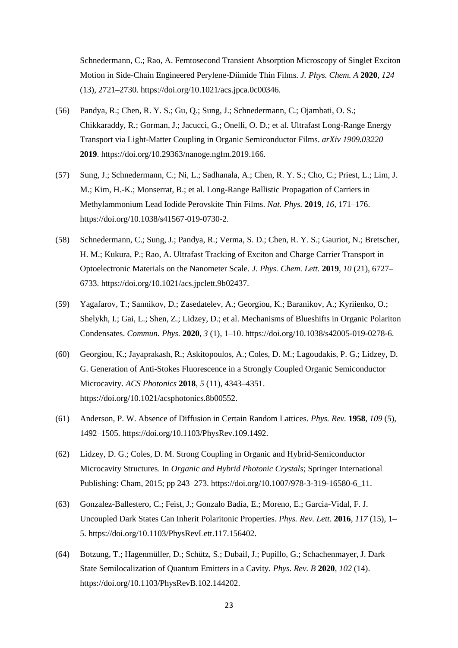Schnedermann, C.; Rao, A. Femtosecond Transient Absorption Microscopy of Singlet Exciton Motion in Side-Chain Engineered Perylene-Diimide Thin Films. *J. Phys. Chem. A* **2020**, *124* (13), 2721–2730. https://doi.org/10.1021/acs.jpca.0c00346.

- (56) Pandya, R.; Chen, R. Y. S.; Gu, Q.; Sung, J.; Schnedermann, C.; Ojambati, O. S.; Chikkaraddy, R.; Gorman, J.; Jacucci, G.; Onelli, O. D.; et al. Ultrafast Long-Range Energy Transport via Light-Matter Coupling in Organic Semiconductor Films. *arXiv 1909.03220* **2019**. https://doi.org/10.29363/nanoge.ngfm.2019.166.
- (57) Sung, J.; Schnedermann, C.; Ni, L.; Sadhanala, A.; Chen, R. Y. S.; Cho, C.; Priest, L.; Lim, J. M.; Kim, H.-K.; Monserrat, B.; et al. Long-Range Ballistic Propagation of Carriers in Methylammonium Lead Iodide Perovskite Thin Films. *Nat. Phys.* **2019**, *16*, 171–176. https://doi.org/10.1038/s41567-019-0730-2.
- (58) Schnedermann, C.; Sung, J.; Pandya, R.; Verma, S. D.; Chen, R. Y. S.; Gauriot, N.; Bretscher, H. M.; Kukura, P.; Rao, A. Ultrafast Tracking of Exciton and Charge Carrier Transport in Optoelectronic Materials on the Nanometer Scale. *J. Phys. Chem. Lett.* **2019**, *10* (21), 6727– 6733. https://doi.org/10.1021/acs.jpclett.9b02437.
- (59) Yagafarov, T.; Sannikov, D.; Zasedatelev, A.; Georgiou, K.; Baranikov, A.; Kyriienko, O.; Shelykh, I.; Gai, L.; Shen, Z.; Lidzey, D.; et al. Mechanisms of Blueshifts in Organic Polariton Condensates. *Commun. Phys.* **2020**, *3* (1), 1–10. https://doi.org/10.1038/s42005-019-0278-6.
- (60) Georgiou, K.; Jayaprakash, R.; Askitopoulos, A.; Coles, D. M.; Lagoudakis, P. G.; Lidzey, D. G. Generation of Anti-Stokes Fluorescence in a Strongly Coupled Organic Semiconductor Microcavity. *ACS Photonics* **2018**, *5* (11), 4343–4351. https://doi.org/10.1021/acsphotonics.8b00552.
- (61) Anderson, P. W. Absence of Diffusion in Certain Random Lattices. *Phys. Rev.* **1958**, *109* (5), 1492–1505. https://doi.org/10.1103/PhysRev.109.1492.
- (62) Lidzey, D. G.; Coles, D. M. Strong Coupling in Organic and Hybrid-Semiconductor Microcavity Structures. In *Organic and Hybrid Photonic Crystals*; Springer International Publishing: Cham, 2015; pp 243–273. https://doi.org/10.1007/978-3-319-16580-6\_11.
- (63) Gonzalez-Ballestero, C.; Feist, J.; Gonzalo Badía, E.; Moreno, E.; Garcia-Vidal, F. J. Uncoupled Dark States Can Inherit Polaritonic Properties. *Phys. Rev. Lett.* **2016**, *117* (15), 1– 5. https://doi.org/10.1103/PhysRevLett.117.156402.
- (64) Botzung, T.; Hagenmüller, D.; Schütz, S.; Dubail, J.; Pupillo, G.; Schachenmayer, J. Dark State Semilocalization of Quantum Emitters in a Cavity. *Phys. Rev. B* **2020**, *102* (14). https://doi.org/10.1103/PhysRevB.102.144202.